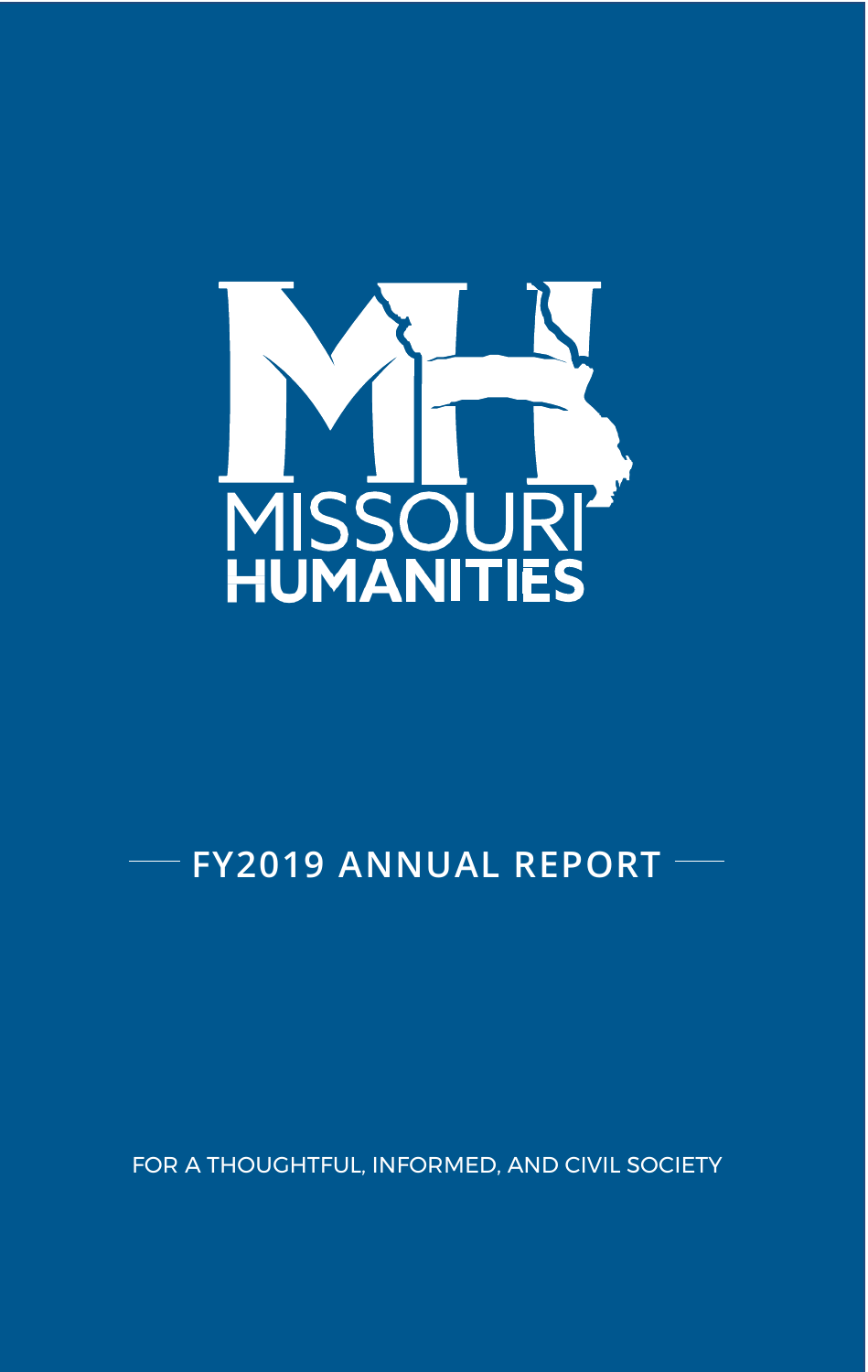

### **FY2019 ANNUAL REPORT**

FOR A THOUGHTFUL, INFORMED, AND CIVIL SOCIETY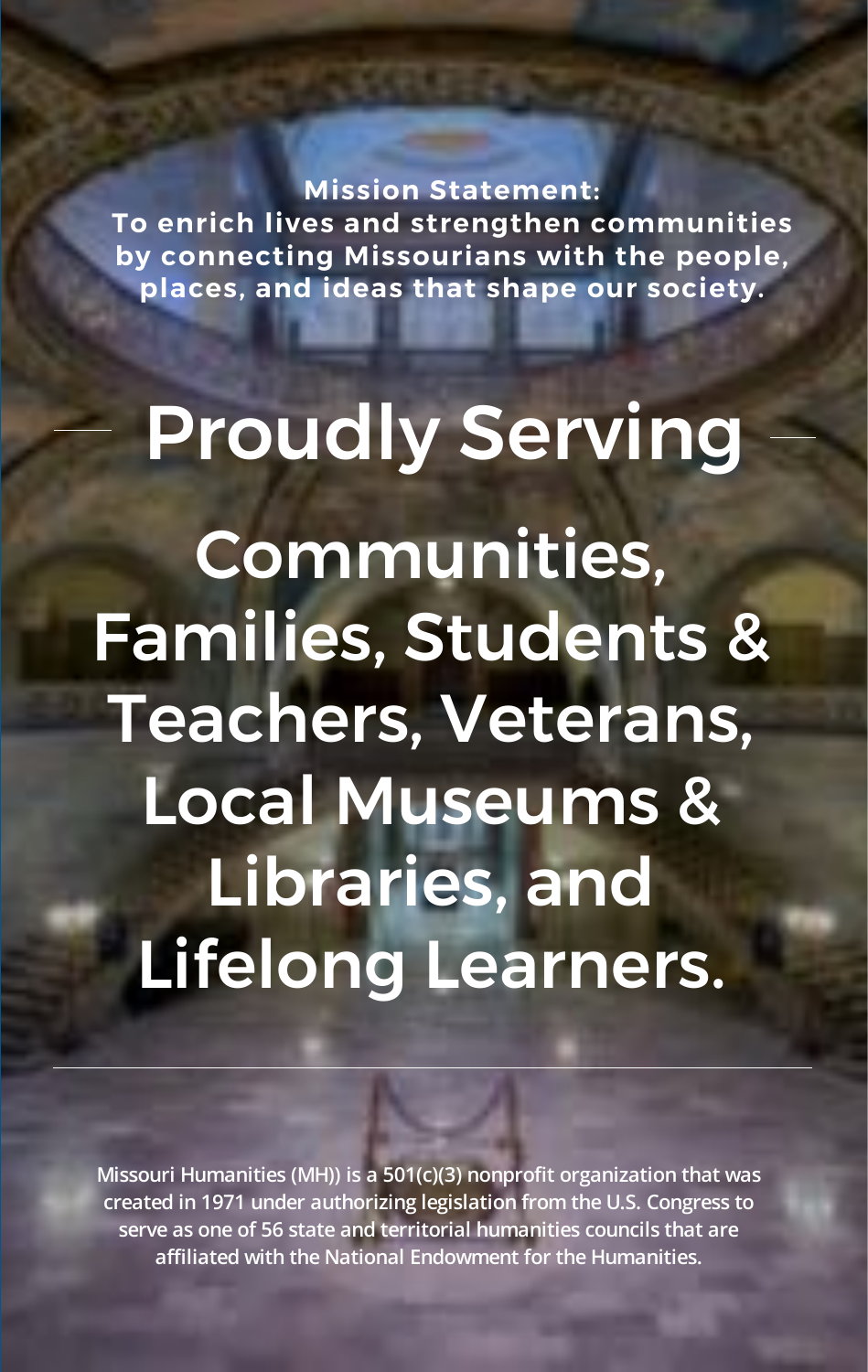**Mission Statement: To enrich lives and strengthen communities by connecting Missourians with the people, places, and ideas that shape our society.**

# Communities, Families, Students & Teachers, Veterans, Local Museums & Libraries, and Lifelong Learners. Proudly Serving

**Missouri Humanities (MH)) is a 501(c)(3) nonprofit organization that was created in 1971 under authorizing legislation from the U.S. Congress to serve as one of 56 state and territorial humanities councils that are affiliated with the National Endowment for the Humanities.**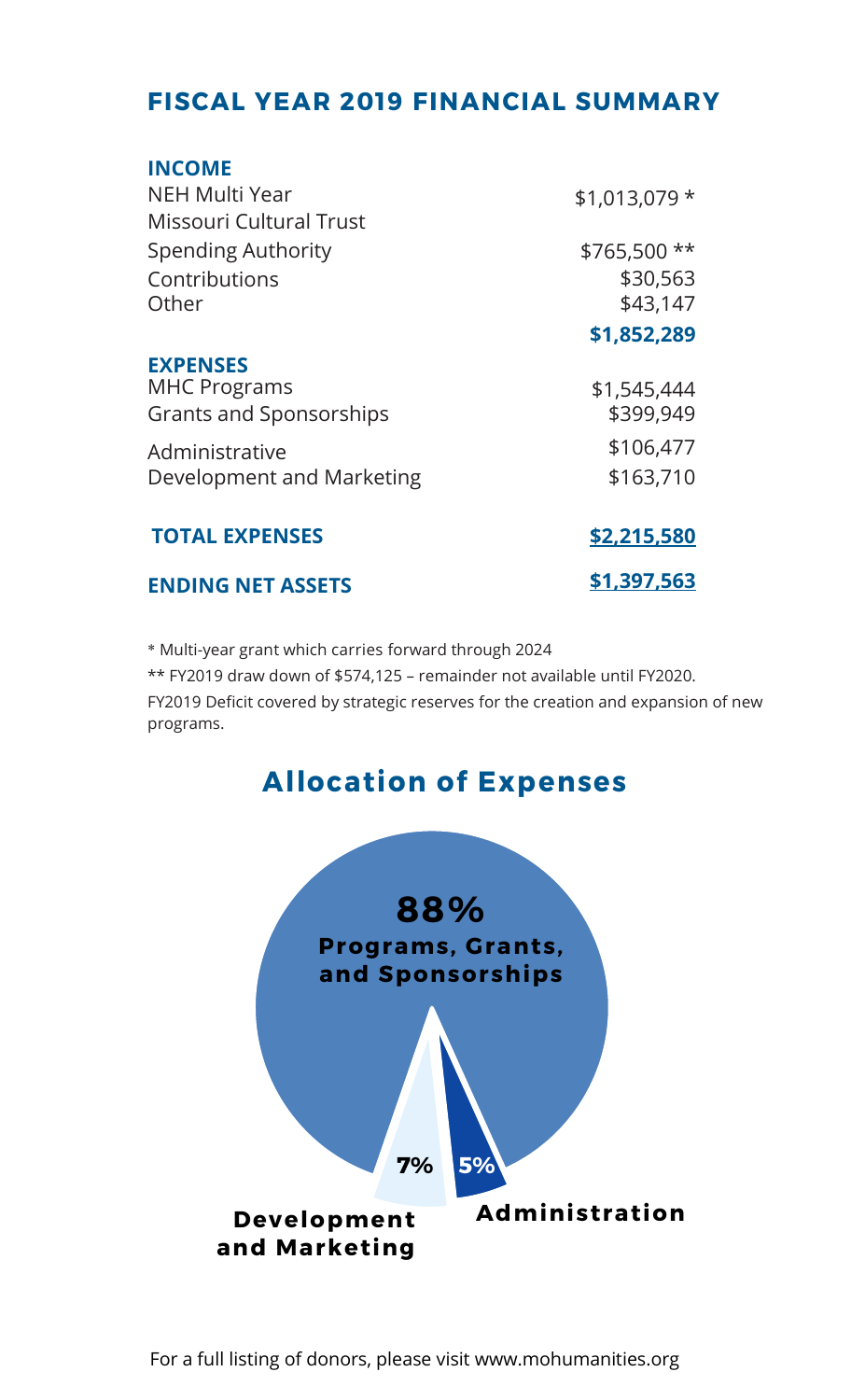#### **FISCAL YEAR 2019 FINANCIAL SUMMARY**

#### **INCOME**

| NEH Multi Year            | $$1.013,079$ * |
|---------------------------|----------------|
| Missouri Cultural Trust   |                |
| Spending Authority        | \$765,500 **   |
| Contributions             | \$30,563       |
| Other                     | \$43,147       |
|                           | \$1,852,289    |
| <b>EXPENSES</b>           |                |
| <b>MHC Programs</b>       | \$1,545,444    |
| Grants and Sponsorships   | \$399,949      |
| Administrative            | \$106,477      |
| Development and Marketing | \$163,710      |
|                           |                |
| <b>TOTAL EXPENSES</b>     | \$2,215,580    |
| <b>ENDING NET ASSETS</b>  | \$1.397.563    |
|                           |                |

\* Multi-year grant which carries forward through 2024 \*\* FY2019 draw down of \$574,125 – remainder not available until FY2020. FY2019 Deficit covered by strategic reserves for the creation and expansion of new programs.

#### **Allocation of Expenses**

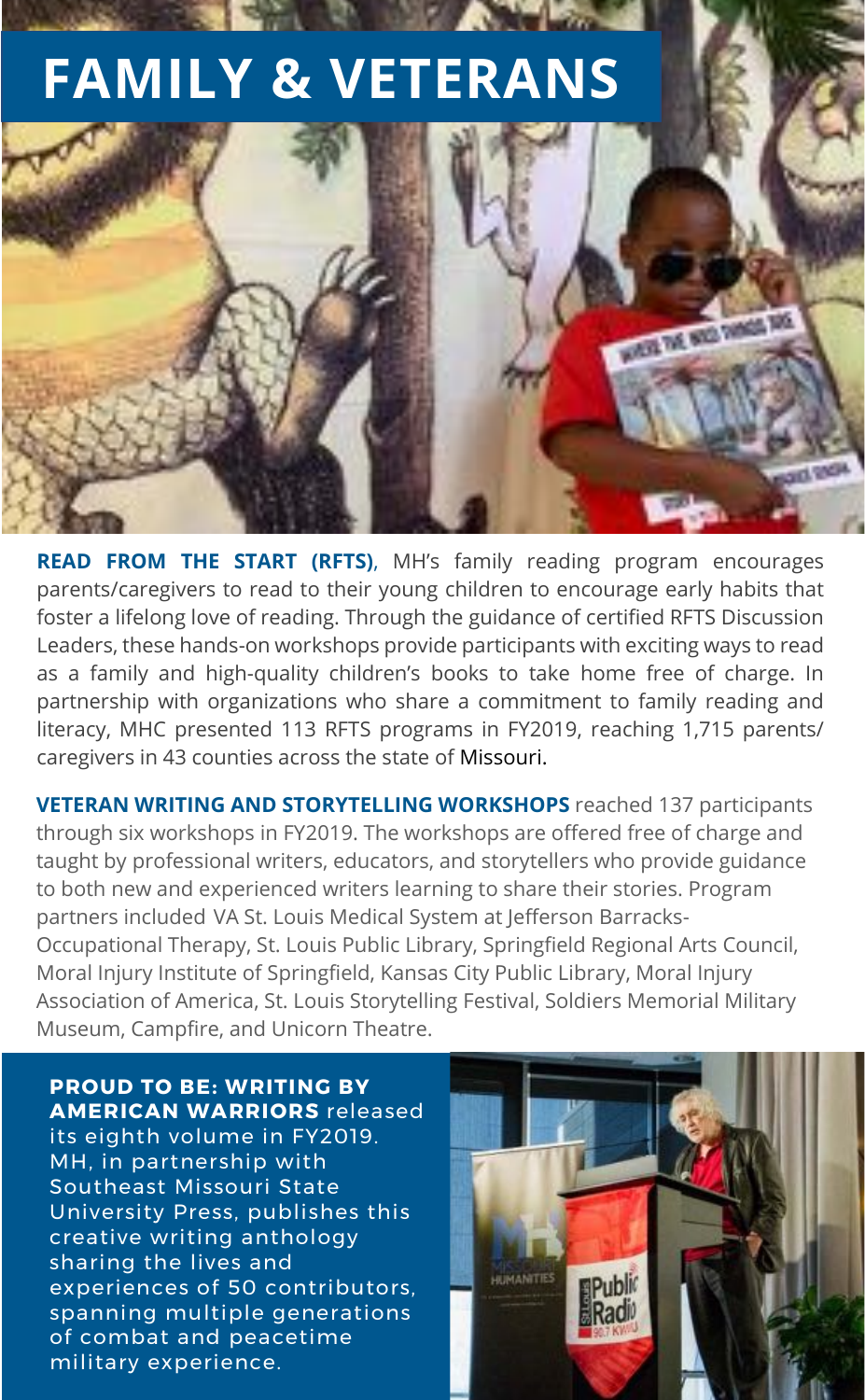### **FAMILY & VETERANS**



READ FROM THE START (RFTS), MH's family reading program encourages parents/caregivers to read to their young children to encourage early habits that foster a lifelong love of reading. Through the guidance of certified RFTS Discussion Leaders, these hands-on workshops provide participants with exciting ways to read as a family and high-quality children's books to take home free of charge. In partnership with organizations who share a commitment to family reading and literacy, MHC presented 113 RFTS programs in FY2019, reaching 1,715 parents/ caregivers in 43 counties across the state of Missouri.

**VETERAN WRITING AND STORYTELLING WORKSHOPS** reached 137 participants through six workshops in FY2019. The workshops are offered free of charge and taught by professional writers, educators, and storytellers who provide guidance to both new and experienced writers learning to share their stories. Program partners included VA St. Louis Medical System at Jefferson Barracks-Occupational Therapy, St. Louis Public Library, Springfield Regional Arts Council, Moral Injury Institute of Springfield, Kansas City Public Library, Moral Injury Association of America, St. Louis Storytelling Festival, Soldiers Memorial Military Museum, Campfire, and Unicorn Theatre.

**PROUD TO BE: WRITING BY AMERICAN WARRIORS** released its eighth volume in FY2019. MH, in partnership with Southeast Missouri State University Press, publishes this creative writing anthology sharing the lives and experiences of 50 contributors, spanning multiple generations of combat and peacetime military experience.

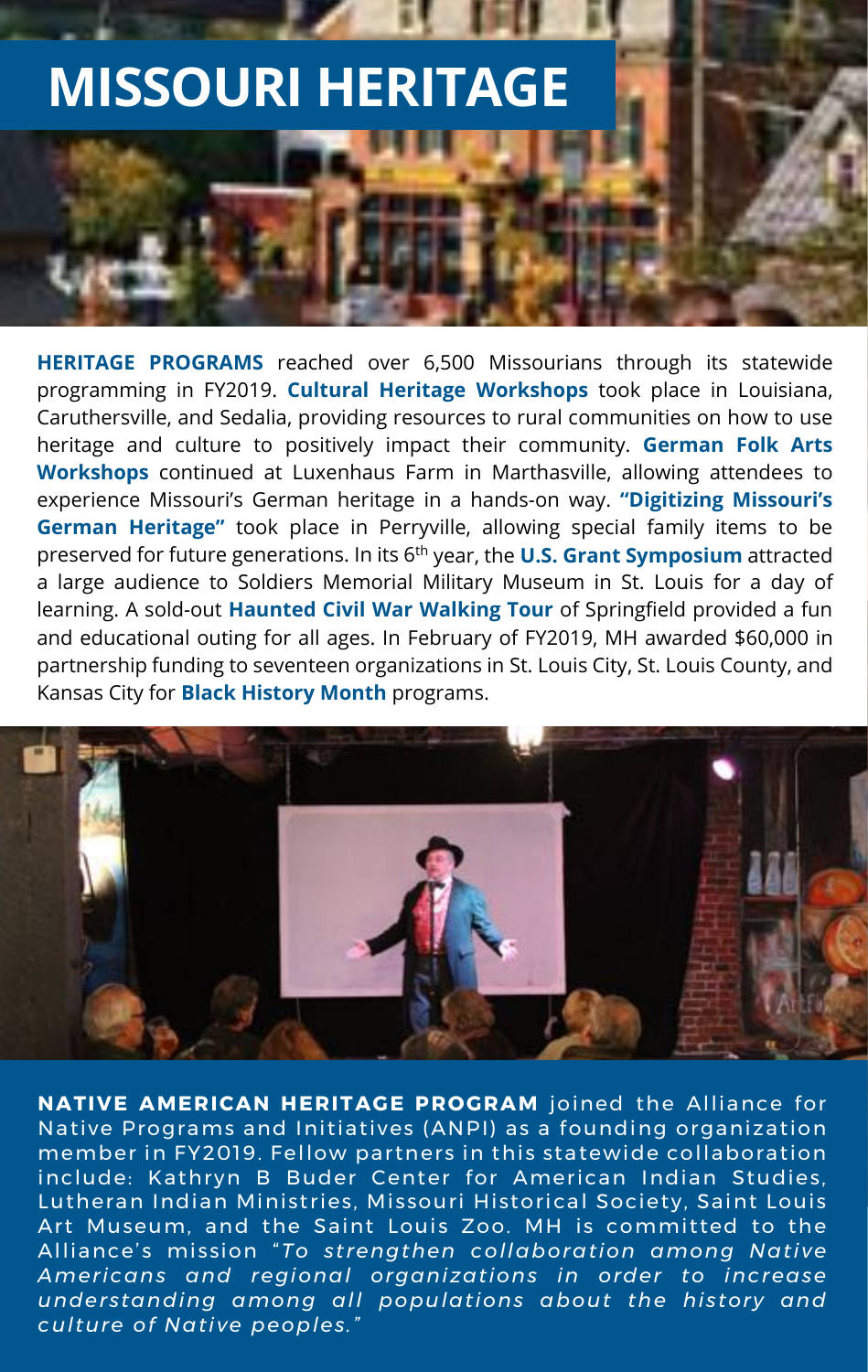### **MISSOURI HERITAGE**

**HERITAGE PROGRAMS** reached over 6,500 Missourians through its statewide programming in FY2019. **Cultural Heritage Workshops** took place in Louisiana, Caruthersville, and Sedalia, providing resources to rural communities on how to use heritage and culture to positively impact their community. **German Folk Arts Workshops** continued at Luxenhaus Farm in Marthasville, allowing attendees to experience Missouri's German heritage in a hands-on way. **"Digitizing Missouri's German Heritage"** took place in Perryville, allowing special family items to be preserved for future generations. In its 6th year, the **U.S. Grant Symposium** attracted a large audience to Soldiers Memorial Military Museum in St. Louis for a day of learning. A sold-out **Haunted Civil War Walking Tour** of Springfield provided a fun and educational outing for all ages. In February of FY2019, MH awarded \$60,000 in partnership funding to seventeen organizations in St. Louis City, St. Louis County, and Kansas City for **Black History Month** programs.



**NATIVE AMERICAN HERITAGE PROGRAM** joined the Alliance for Native Programs and Initiatives (ANPI) as a founding organization member in FY2019. Fellow partners in this statewide collaboration include: Kathryn B Buder Center for American Indian Studies, Lutheran Indian Ministries, Missouri Historical Society, Saint Louis Art Museum, and the Saint Louis Zoo. MH is committed to the Alliance's mission "*To strengthen collaboration among Native Americans and regional organizations in order to increase understanding among all populations about the history and culture of Native peoples."*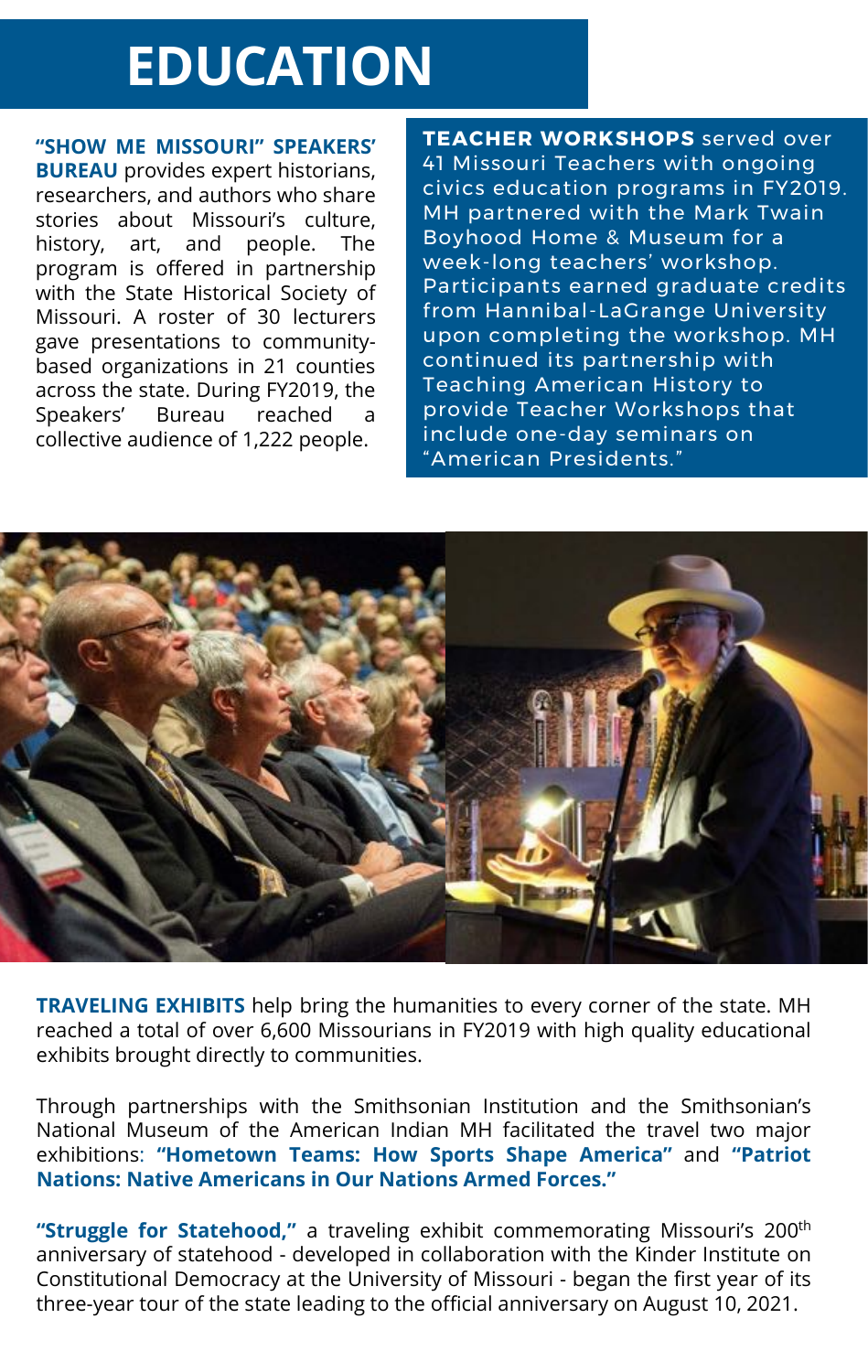### **EDUCATION**

**"SHOW ME MISSOURI" SPEAKERS' BUREAU** provides expert historians, researchers, and authors who share stories about Missouri's culture, history, art, and people. The program is offered in partnership with the State Historical Society of Missouri. A roster of 30 lecturers gave presentations to communitybased organizations in 21 counties across the state. During FY2019, the Speakers' Bureau reached a collective audience of 1,222 people.

**TEACHER WORKSHOPS** served over 41 Missouri Teachers with ongoing civics education programs in FY2019. MH partnered with the Mark Twain Boyhood Home & Museum for a week-long teachers' workshop. Participants earned graduate credits from Hannibal-LaGrange University upon completing the workshop. MH continued its partnership with Teaching American History to provide Teacher Workshops that include one-day seminars on "American Presidents."



**TRAVELING EXHIBITS** help bring the humanities to every corner of the state. MH reached a total of over 6,600 Missourians in FY2019 with high quality educational exhibits brought directly to communities.

Through partnerships with the Smithsonian Institution and the Smithsonian's National Museum of the American Indian MH facilitated the travel two major exhibitions: **"Hometown Teams: How Sports Shape America"** and **"Patriot Nations: Native Americans in Our Nations Armed Forces."**

**"Struggle for Statehood,"** a traveling exhibit commemorating Missouri's 200th anniversary of statehood - developed in collaboration with the Kinder Institute on Constitutional Democracy at the University of Missouri - began the first year of its three-year tour of the state leading to the official anniversary on August 10, 2021.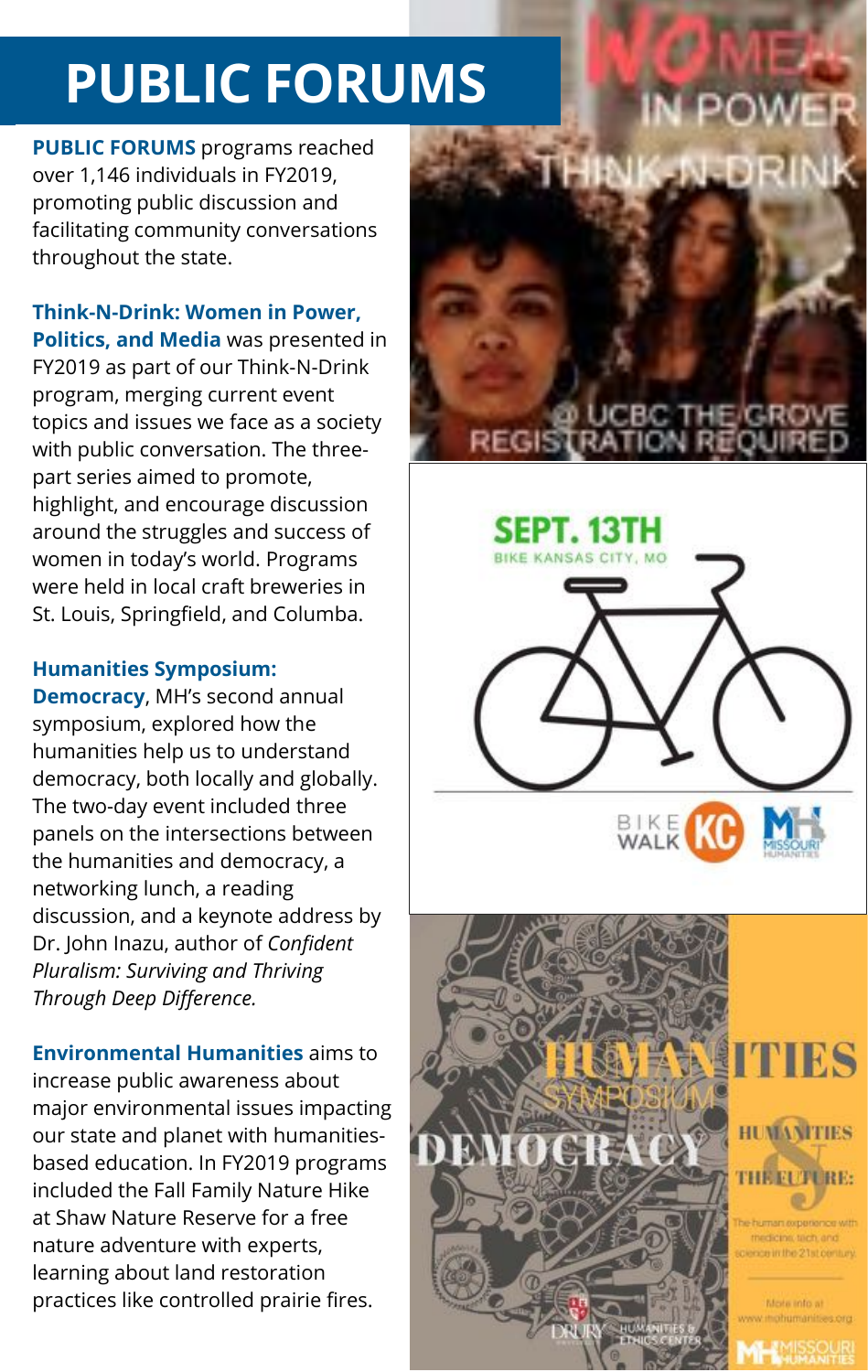## **PUBLIC FORUMS**

**PUBLIC FORUMS** programs reached over 1,146 individuals in FY2019, promoting public discussion and facilitating community conversations throughout the state.

**Think-N-Drink: Women in Power, Politics, and Media** was presented in FY2019 as part of our Think-N-Drink program, merging current event topics and issues we face as a society with public conversation. The threepart series aimed to promote, highlight, and encourage discussion around the struggles and success of women in today's world. Programs were held in local craft breweries in St. Louis, Springfield, and Columba.

#### **Humanities Symposium:**

**Democracy**, MH's second annual symposium, explored how the humanities help us to understand democracy, both locally and globally. The two-day event included three panels on the intersections between the humanities and democracy, a networking lunch, a reading discussion, and a keynote address by Dr. John Inazu, author of *Confident Pluralism: Surviving and Thriving Through Deep Difference.*

**Environmental Humanities** aims to increase public awareness about major environmental issues impacting our state and planet with humanitiesbased education. In FY2019 programs included the Fall Family Nature Hike at Shaw Nature Reserve for a free nature adventure with experts, learning about land restoration practices like controlled prairie fires.



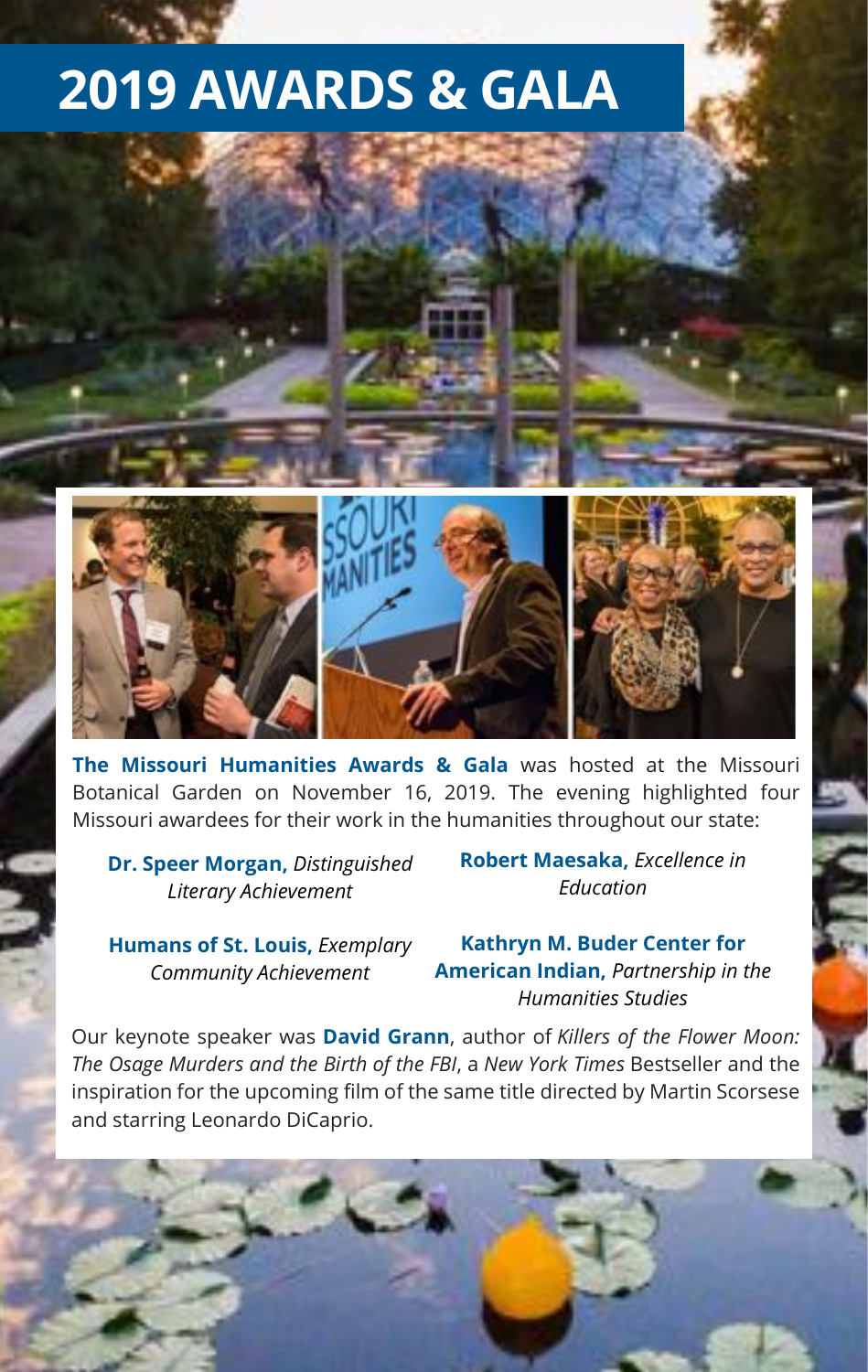### **2019 AWARDS & GALA**



**The Missouri Humanities Awards & Gala** was hosted at the Missouri Botanical Garden on November 16, 2019. The evening highlighted four Missouri awardees for their work in the humanities throughout our state:

**Dr. Speer Morgan,** *Distinguished Literary Achievement*

**Robert Maesaka,** *Excellence in Education*

**Humans of St. Louis,** *Exemplary Community Achievement*

**Kathryn M. Buder Center for American Indian,** *Partnership in the Humanities Studies*

Our keynote speaker was **David Grann**, author of *Killers of the Flower Moon: The Osage Murders and the Birth of the FBI*, a *New York Times* Bestseller and the inspiration for the upcoming film of the same title directed by Martin Scorsese and starring Leonardo DiCaprio.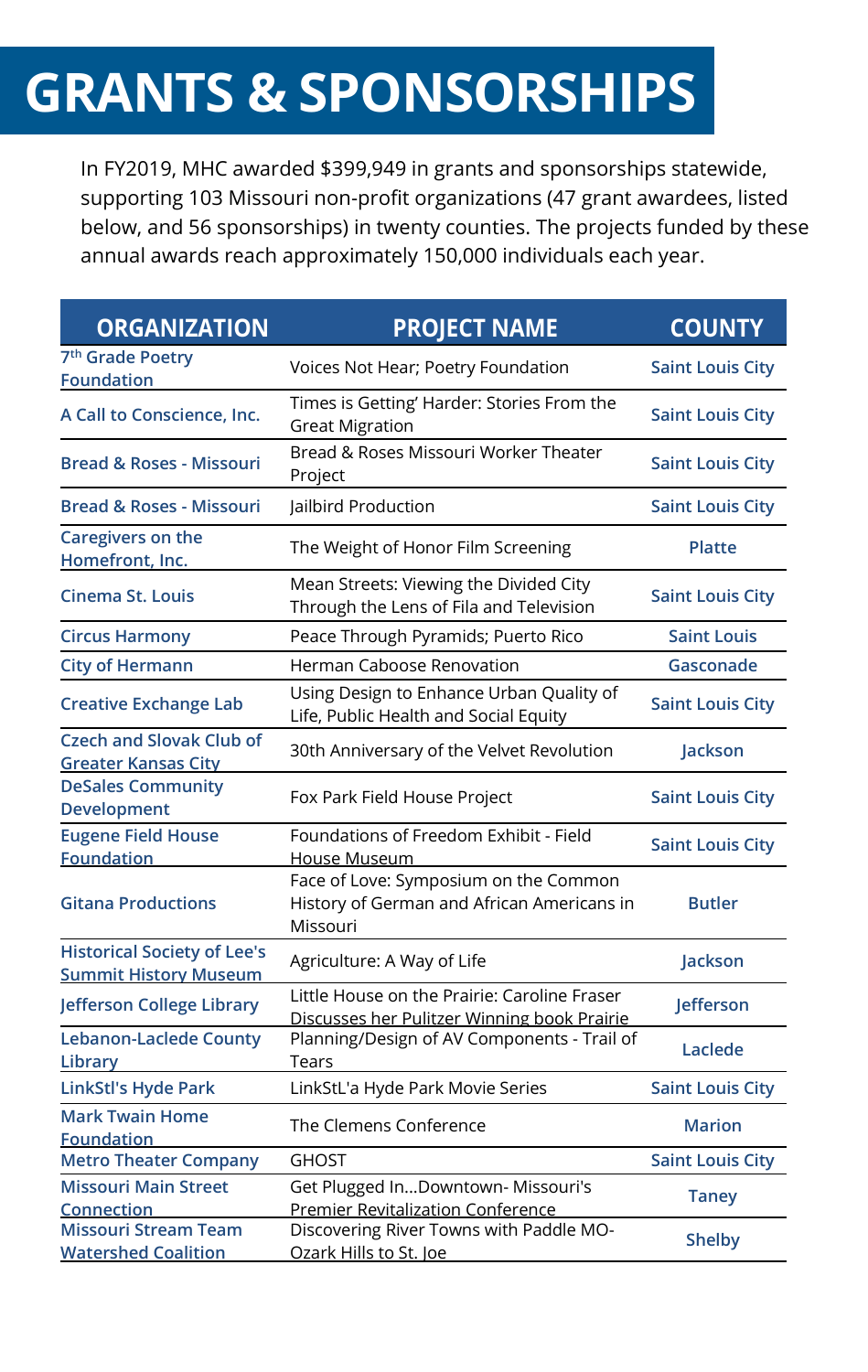### **GRANTS & SPONSORSHIPS**

In FY2019, MHC awarded \$399,949 in grants and sponsorships statewide, supporting 103 Missouri non-profit organizations (47 grant awardees, listed below, and 56 sponsorships) in twenty counties. The projects funded by these annual awards reach approximately 150,000 individuals each year.

| <b>ORGANIZATION</b>                                                | <b>PROJECT NAME</b>                                                                             | <b>COUNTY</b>           |
|--------------------------------------------------------------------|-------------------------------------------------------------------------------------------------|-------------------------|
| 7 <sup>th</sup> Grade Poetry<br><b>Foundation</b>                  | Voices Not Hear; Poetry Foundation                                                              | <b>Saint Louis City</b> |
| A Call to Conscience, Inc.                                         | Times is Getting' Harder: Stories From the<br><b>Great Migration</b>                            | <b>Saint Louis City</b> |
| <b>Bread &amp; Roses - Missouri</b>                                | Bread & Roses Missouri Worker Theater<br>Project                                                | <b>Saint Louis City</b> |
| <b>Bread &amp; Roses - Missouri</b>                                | Jailbird Production                                                                             | <b>Saint Louis City</b> |
| Caregivers on the<br>Homefront, Inc.                               | The Weight of Honor Film Screening                                                              | Platte                  |
| <b>Cinema St. Louis</b>                                            | Mean Streets: Viewing the Divided City<br>Through the Lens of Fila and Television               | <b>Saint Louis City</b> |
| <b>Circus Harmony</b>                                              | Peace Through Pyramids; Puerto Rico                                                             | <b>Saint Louis</b>      |
| <b>City of Hermann</b>                                             | Herman Caboose Renovation                                                                       | Gasconade               |
| <b>Creative Exchange Lab</b>                                       | Using Design to Enhance Urban Quality of<br>Life, Public Health and Social Equity               | <b>Saint Louis City</b> |
| <b>Czech and Slovak Club of</b><br><b>Greater Kansas City</b>      | 30th Anniversary of the Velvet Revolution                                                       | Jackson                 |
| <b>DeSales Community</b><br><b>Development</b>                     | Fox Park Field House Project                                                                    | <b>Saint Louis City</b> |
| <b>Eugene Field House</b><br><b>Foundation</b>                     | Foundations of Freedom Exhibit - Field<br>House Museum                                          | <b>Saint Louis City</b> |
| <b>Gitana Productions</b>                                          | Face of Love: Symposium on the Common<br>History of German and African Americans in<br>Missouri | <b>Butler</b>           |
| <b>Historical Society of Lee's</b><br><b>Summit History Museum</b> | Agriculture: A Way of Life                                                                      | Jackson                 |
| Jefferson College Library                                          | Little House on the Prairie: Caroline Fraser<br>Discusses her Pulitzer Winning book Prairie     | Jefferson               |
| <b>Lebanon-Laclede County</b><br>Library                           | Planning/Design of AV Components - Trail of<br>Tears                                            | Laclede                 |
| <b>LinkStl's Hyde Park</b>                                         | LinkStL'a Hyde Park Movie Series                                                                | <b>Saint Louis City</b> |
| <b>Mark Twain Home</b><br><b>Foundation</b>                        | The Clemens Conference                                                                          | <b>Marion</b>           |
| <b>Metro Theater Company</b>                                       | <b>GHOST</b>                                                                                    | <b>Saint Louis City</b> |
| <b>Missouri Main Street</b><br>Connection                          | Get Plugged InDowntown-Missouri's<br><b>Premier Revitalization Conference</b>                   | <b>Taney</b>            |
| <b>Missouri Stream Team</b><br><b>Watershed Coalition</b>          | Discovering River Towns with Paddle MO-<br>Ozark Hills to St. Joe                               | <b>Shelby</b>           |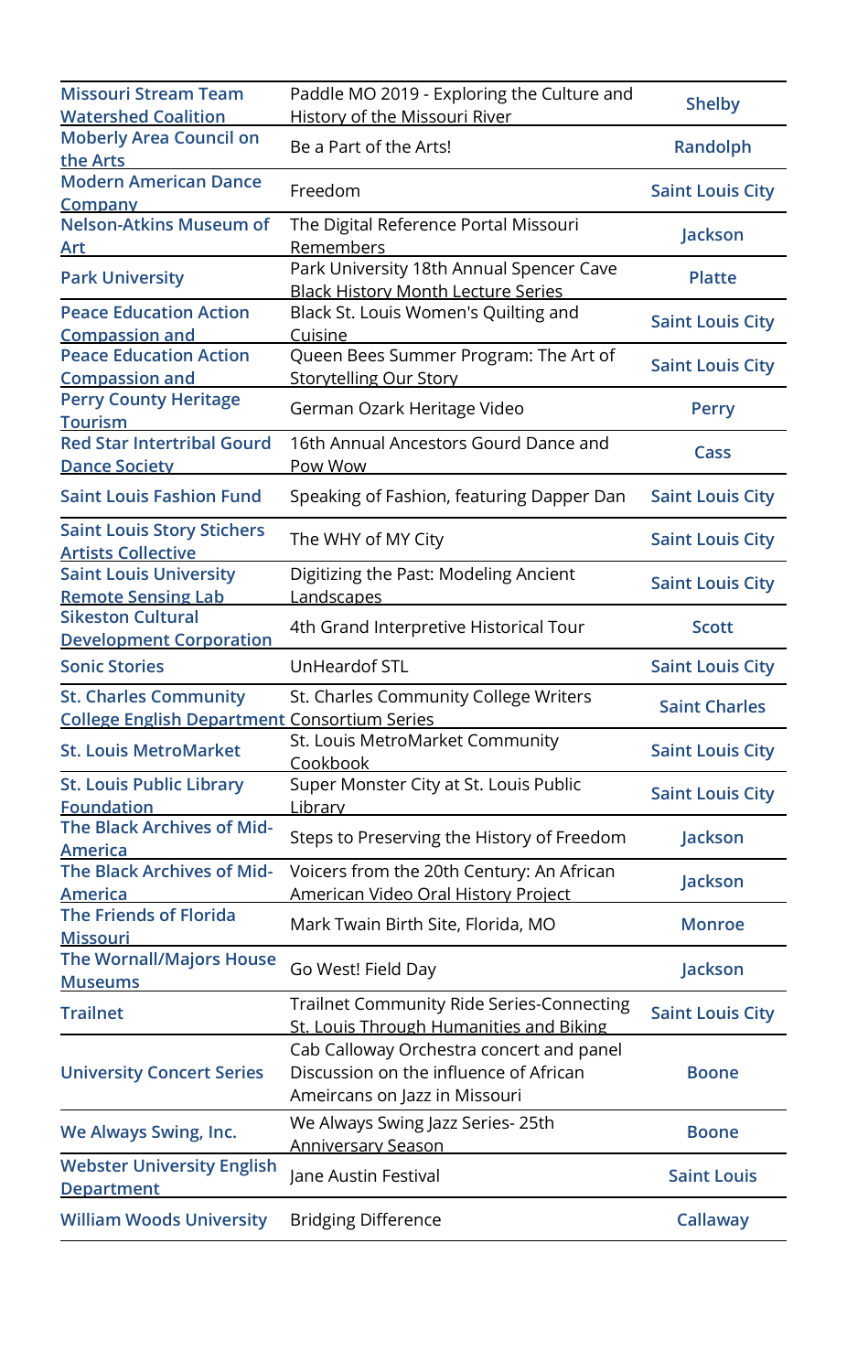| <b>Missouri Stream Team</b>                                                         | Paddle MO 2019 - Exploring the Culture and                                                                          | <b>Shelby</b>           |
|-------------------------------------------------------------------------------------|---------------------------------------------------------------------------------------------------------------------|-------------------------|
| <b>Watershed Coalition</b>                                                          | History of the Missouri River                                                                                       |                         |
| <b>Moberly Area Council on</b><br>the Arts                                          | Be a Part of the Arts!                                                                                              | Randolph                |
| <b>Modern American Dance</b><br>Company                                             | Freedom                                                                                                             | <b>Saint Louis City</b> |
| <b>Nelson-Atkins Museum of</b><br>Art                                               | The Digital Reference Portal Missouri<br>Remembers                                                                  | Jackson                 |
| <b>Park University</b>                                                              | Park University 18th Annual Spencer Cave<br><b>Black History Month Lecture Series</b>                               | <b>Platte</b>           |
| <b>Peace Education Action</b>                                                       | Black St. Louis Women's Quilting and                                                                                | <b>Saint Louis City</b> |
| <b>Compassion and</b>                                                               | Cuisine                                                                                                             |                         |
| <b>Peace Education Action</b>                                                       | Queen Bees Summer Program: The Art of                                                                               | <b>Saint Louis City</b> |
| <b>Compassion and</b>                                                               | <b>Storytelling Our Story</b>                                                                                       |                         |
| <b>Perry County Heritage</b><br>Tourism                                             | German Ozark Heritage Video                                                                                         | Perry                   |
| <b>Red Star Intertribal Gourd</b>                                                   | 16th Annual Ancestors Gourd Dance and                                                                               | Cass                    |
| <b>Dance Society</b>                                                                | Pow Wow                                                                                                             |                         |
| <b>Saint Louis Fashion Fund</b>                                                     | Speaking of Fashion, featuring Dapper Dan                                                                           | <b>Saint Louis City</b> |
| <b>Saint Louis Story Stichers</b><br><b>Artists Collective</b>                      | The WHY of MY City                                                                                                  | <b>Saint Louis City</b> |
| <b>Saint Louis University</b>                                                       | Digitizing the Past: Modeling Ancient                                                                               |                         |
| <b>Remote Sensing Lab</b>                                                           | Landscapes                                                                                                          | <b>Saint Louis City</b> |
| <b>Sikeston Cultural</b>                                                            |                                                                                                                     |                         |
| <b>Development Corporation</b>                                                      | 4th Grand Interpretive Historical Tour                                                                              | <b>Scott</b>            |
| <b>Sonic Stories</b>                                                                | UnHeardof STL                                                                                                       | <b>Saint Louis City</b> |
|                                                                                     |                                                                                                                     |                         |
| <b>St. Charles Community</b><br><b>College English Department Consortium Series</b> | St. Charles Community College Writers                                                                               | <b>Saint Charles</b>    |
| <b>St. Louis MetroMarket</b>                                                        | St. Louis MetroMarket Community<br>Cookbook                                                                         | <b>Saint Louis City</b> |
| <b>St. Louis Public Library</b>                                                     | Super Monster City at St. Louis Public                                                                              | <b>Saint Louis City</b> |
| <b>Foundation</b>                                                                   | Library                                                                                                             |                         |
| The Black Archives of Mid-<br>America                                               | Steps to Preserving the History of Freedom                                                                          | Jackson                 |
| The Black Archives of Mid-<br>America                                               | Voicers from the 20th Century: An African<br>American Video Oral History Project                                    | Jackson                 |
| <b>The Friends of Florida</b><br>Missouri                                           | Mark Twain Birth Site, Florida, MO                                                                                  | <b>Monroe</b>           |
| <b>The Wornall/Majors House</b><br><b>Museums</b>                                   | Go West! Field Day                                                                                                  | Jackson                 |
| <b>Trailnet</b>                                                                     | <b>Trailnet Community Ride Series-Connecting</b><br>St. Louis Through Humanities and Biking                         | <b>Saint Louis City</b> |
| <b>University Concert Series</b>                                                    | Cab Calloway Orchestra concert and panel<br>Discussion on the influence of African<br>Ameircans on Jazz in Missouri | <b>Boone</b>            |
| We Always Swing, Inc.                                                               | We Always Swing Jazz Series- 25th<br><u>Anniversary Season</u>                                                      | <b>Boone</b>            |
| <b>Webster University English</b><br><b>Department</b>                              | Jane Austin Festival                                                                                                | <b>Saint Louis</b>      |
| <b>William Woods University</b>                                                     | <b>Bridging Difference</b>                                                                                          | Callaway                |